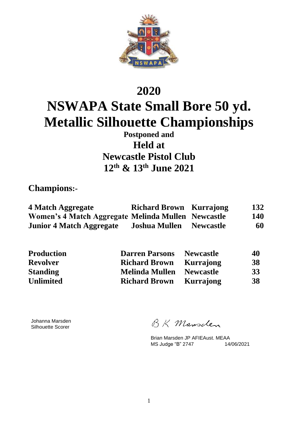

# **2020 NSWAPA State Small Bore 50 yd. Metallic Silhouette Championships**

**Postponed and Held at Newcastle Pistol Club 12th & 13th June 2021**

**Champions:-**

| 4 Match Aggregate                                  | <b>Richard Brown Kurrajong</b> |                  | 132        |
|----------------------------------------------------|--------------------------------|------------------|------------|
| Women's 4 Match Aggregate Melinda Mullen Newcastle |                                |                  | <b>140</b> |
| <b>Junior 4 Match Aggregate</b>                    | <b>Joshua Mullen</b>           | <b>Newcastle</b> | 60         |

| <b>Production</b> | <b>Darren Parsons</b> | <b>Newcastle</b> | 40 |
|-------------------|-----------------------|------------------|----|
| <b>Revolver</b>   | <b>Richard Brown</b>  | Kurrajong        | 38 |
| <b>Standing</b>   | <b>Melinda Mullen</b> | <b>Newcastle</b> | 33 |
| <b>Unlimited</b>  | <b>Richard Brown</b>  | Kurrajong        | 38 |

Johanna Marsden Silhouette Scorer

RK Mansclen

Brian Marsden JP AFIEAust. MEAA<br>MS Judge "B" 2747 14/06/2021 MS Judge "B" 2747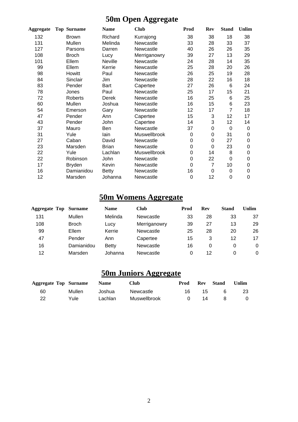## **50m Open Aggregate**

| Aggregate | <b>Top Surname</b> | <b>Name</b>    | <b>Club</b>  | Prod | <b>Rev</b> | <b>Stand</b> | <b>Unlim</b> |
|-----------|--------------------|----------------|--------------|------|------------|--------------|--------------|
| 132       | <b>Brown</b>       | Richard        | Kurrajong    | 38   | 38         | 18           | 38           |
| 131       | Mullen             | Melinda        | Newcastle    | 33   | 28         | 33           | 37           |
| 127       | Parsons            | Darren         | Newcastle    | 40   | 26         | 26           | 35           |
| 108       | <b>Broch</b>       | Lucy           | Merriganowry | 39   | 27         | 13           | 29           |
| 101       | Ellem              | <b>Neville</b> | Newcastle    | 24   | 28         | 14           | 35           |
| 99        | Ellem              | Kerrie         | Newcastle    | 25   | 28         | 20           | 26           |
| 98        | Howitt             | Paul           | Newcastle    | 26   | 25         | 19           | 28           |
| 84        | Sinclair           | Jim            | Newcastle    | 28   | 22         | 16           | 18           |
| 83        | Pender             | <b>Bart</b>    | Capertee     | 27   | 26         | 6            | 24           |
| 78        | Jones              | Paul           | Newcastle    | 25   | 17         | 15           | 21           |
| 72        | Roberts            | Derek          | Newcastle    | 16   | 25         | 6            | 25           |
| 60        | Mullen             | Joshua         | Newcastle    | 16   | 15         | 6            | 23           |
| 54        | Emerson            | Gary           | Newcastle    | 12   | 17         | 7            | 18           |
| 47        | Pender             | Ann            | Capertee     | 15   | 3          | 12           | 17           |
| 43        | Pender             | John           | Capertee     | 14   | 3          | 12           | 14           |
| 37        | Mauro              | Ben            | Newcastle    | 37   | 0          | 0            | 0            |
| 31        | Yule               | lain           | Muswellbrook | 0    | 0          | 31           | 0            |
| 27        | Caban              | David          | Newcastle    | 0    | 0          | 27           | 0            |
| 23        | Marsden            | <b>Brian</b>   | Newcastle    | 0    | 0          | 23           | 0            |
| 22        | Yule               | Lachlan        | Muswellbrook | 0    | 14         | 8            | 0            |
| 22        | Robinson           | John           | Newcastle    | 0    | 22         | 0            | 0            |
| 17        | <b>Bryden</b>      | Kevin          | Newcastle    | 0    | 7          | 10           | 0            |
| 16        | Damianidou         | <b>Betty</b>   | Newcastle    | 16   | 0          | 0            | 0            |
| 12        | Marsden            | Johanna        | Newcastle    | 0    | 12         | 0            | 0            |

# **50m Womens Aggregate**

| <b>Aggregate Top</b> | Surname      | <b>Name</b> | Club         | Prod | Rev | Stand | Unlim |
|----------------------|--------------|-------------|--------------|------|-----|-------|-------|
| 131                  | Mullen       | Melinda     | Newcastle    | 33   | 28  | 33    | 37    |
| 108                  | <b>Broch</b> | Lucy        | Merriganowry | 39   | 27  | 13    | 29    |
| 99                   | Ellem        | Kerrie      | Newcastle    | 25   | 28  | 20    | 26    |
| 47                   | Pender       | Ann         | Capertee     | 15   | 3   | 12    | 17    |
| 16                   | Damianidou   | Betty       | Newcastle    | 16   | 0   | 0     | 0     |
| 12                   | Marsden      | Johanna     | Newcastle    | 0    | 12  |       | 0     |

## **50m Juniors Aggregate**

| <b>Aggregate Top Surname</b> |        | <b>Name</b> | <b>Club</b>  | Prod | Rev | <b>Stand</b> | Unlim |
|------------------------------|--------|-------------|--------------|------|-----|--------------|-------|
| 60                           | Mullen | Joshua      | Newcastle    | 16   | 15  |              | 23    |
| 22                           | Yule   | Lachlan     | Muswellbrook |      | 14  |              | 0     |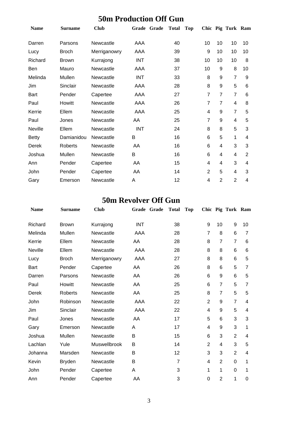### **50m Production Off Gun**

| <b>Name</b>    | <b>Surname</b> | <b>Club</b>  |            | Grade Grade | <b>Total</b> | <b>Top</b> |                |                | Chic Pig Turk Ram |                |
|----------------|----------------|--------------|------------|-------------|--------------|------------|----------------|----------------|-------------------|----------------|
| Darren         | Parsons        | Newcastle    | AAA        |             | 40           |            | 10             | 10             | 10                | 10             |
| Lucy           | <b>Broch</b>   | Merriganowry | AAA        |             | 39           |            | 9              | 10             | 10                | 10             |
| Richard        | <b>Brown</b>   | Kurrajong    | <b>INT</b> |             | 38           |            | 10             | 10             | 10                | 8              |
| <b>Ben</b>     | Mauro          | Newcastle    | AAA        |             | 37           |            | 10             | 9              | 8                 | 10             |
| Melinda        | Mullen         | Newcastle    | <b>INT</b> |             | 33           |            | 8              | 9              | 7                 | 9              |
| Jim            | Sinclair       | Newcastle    | AAA        |             | 28           |            | 8              | 9              | 5                 | 6              |
| <b>Bart</b>    | Pender         | Capertee     | AAA        |             | 27           |            | 7              | $\overline{7}$ | $\overline{7}$    | 6              |
| Paul           | Howitt         | Newcastle    | AAA        |             | 26           |            | $\overline{7}$ | $\overline{7}$ | 4                 | 8              |
| Kerrie         | Ellem          | Newcastle    | AAA        |             | 25           |            | 4              | 9              | $\overline{7}$    | 5              |
| Paul           | Jones          | Newcastle    | AA         |             | 25           |            | $\overline{7}$ | 9              | 4                 | 5              |
| <b>Neville</b> | Ellem          | Newcastle    | <b>INT</b> |             | 24           |            | 8              | 8              | 5                 | 3              |
| <b>Betty</b>   | Damianidou     | Newcastle    | B          |             | 16           |            | 6              | 5              | 1                 | 4              |
| Derek          | Roberts        | Newcastle    | AA         |             | 16           |            | 6              | 4              | 3                 | 3              |
| Joshua         | Mullen         | Newcastle    | B          |             | 16           |            | 6              | 4              | 4                 | $\overline{2}$ |
| Ann            | Pender         | Capertee     | AA         |             | 15           |            | 4              | 4              | 3                 | 4              |
| John           | Pender         | Capertee     | AA         |             | 14           |            | $\overline{2}$ | 5              | 4                 | 3              |
| Gary           | Emerson        | Newcastle    | A          |             | 12           |            | 4              | $\overline{2}$ | $\overline{2}$    | 4              |

### **50m Revolver Off Gun**

| <b>Name</b> | <b>Surname</b> | <b>Club</b>  | Grade Grade | <b>Total</b>   | <b>Top</b> |                |                | Chic Pig Turk Ram |    |
|-------------|----------------|--------------|-------------|----------------|------------|----------------|----------------|-------------------|----|
| Richard     | <b>Brown</b>   | Kurrajong    | <b>INT</b>  | 38             |            | 9              | 10             | 9                 | 10 |
| Melinda     | Mullen         | Newcastle    | AAA         | 28             |            | $\overline{7}$ | 8              | 6                 | 7  |
| Kerrie      | Ellem          | Newcastle    | AA          | 28             |            | 8              | $\overline{7}$ | $\overline{7}$    | 6  |
| Neville     | Ellem          | Newcastle    | AAA         | 28             |            | 8              | 8              | 6                 | 6  |
| Lucy        | <b>Broch</b>   | Merriganowry | AAA         | 27             |            | 8              | 8              | 6                 | 5  |
| <b>Bart</b> | Pender         | Capertee     | AA          | 26             |            | 8              | 6              | 5                 | 7  |
| Darren      | Parsons        | Newcastle    | AA          | 26             |            | 6              | 9              | 6                 | 5  |
| Paul        | Howitt         | Newcastle    | AA          | 25             |            | 6              | $\overline{7}$ | 5                 | 7  |
| Derek       | <b>Roberts</b> | Newcastle    | AA          | 25             |            | 8              | $\overline{7}$ | 5                 | 5  |
| John        | Robinson       | Newcastle    | AAA         | 22             |            | $\overline{2}$ | 9              | $\overline{7}$    | 4  |
| Jim         | Sinclair       | Newcastle    | AAA         | 22             |            | 4              | 9              | 5                 | 4  |
| Paul        | Jones          | Newcastle    | AA          | 17             |            | 5              | 6              | 3                 | 3  |
| Gary        | Emerson        | Newcastle    | A           | 17             |            | 4              | 9              | 3                 | 1  |
| Joshua      | Mullen         | Newcastle    | B           | 15             |            | 6              | 3              | $\overline{2}$    | 4  |
| Lachlan     | Yule           | Muswellbrook | B           | 14             |            | $\overline{2}$ | 4              | 3                 | 5  |
| Johanna     | Marsden        | Newcastle    | B           | 12             |            | 3              | 3              | $\overline{2}$    | 4  |
| Kevin       | <b>Bryden</b>  | Newcastle    | B           | $\overline{7}$ |            | 4              | $\overline{2}$ | 0                 | 1  |
| John        | Pender         | Capertee     | A           | 3              |            | 1              | 1              | 0                 | 1  |
| Ann         | Pender         | Capertee     | AA          | 3              |            | $\mathbf 0$    | $\overline{2}$ | 1                 | 0  |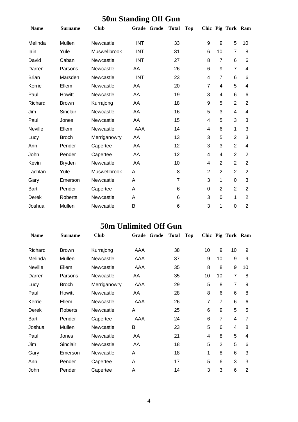# **50m Standing Off Gun**

| <b>Name</b>  | Surname        | <b>Club</b>  | Grade Grade | <b>Total</b>   | <b>Top</b> |                |                | Chic Pig Turk Ram |                |
|--------------|----------------|--------------|-------------|----------------|------------|----------------|----------------|-------------------|----------------|
| Melinda      | Mullen         | Newcastle    | <b>INT</b>  | 33             |            | 9              | 9              | 5                 | 10             |
| lain         | Yule           | Muswellbrook | <b>INT</b>  | 31             |            | $\,6$          | 10             | $\overline{7}$    | 8              |
| David        | Caban          | Newcastle    | <b>INT</b>  | 27             |            | 8              | $\overline{7}$ | 6                 | 6              |
| Darren       | Parsons        | Newcastle    | AA          | 26             |            | 6              | 9              | $\overline{7}$    | 4              |
| <b>Brian</b> | Marsden        | Newcastle    | <b>INT</b>  | 23             |            | 4              | $\overline{7}$ | 6                 | 6              |
| Kerrie       | Ellem          | Newcastle    | AA          | 20             |            | 7              | 4              | 5                 | 4              |
| Paul         | Howitt         | Newcastle    | AA          | 19             |            | 3              | 4              | 6                 | 6              |
| Richard      | <b>Brown</b>   | Kurrajong    | AA          | 18             |            | 9              | 5              | $\overline{2}$    | $\overline{2}$ |
| Jim          | Sinclair       | Newcastle    | AA          | 16             |            | 5              | 3              | 4                 | 4              |
| Paul         | Jones          | Newcastle    | AA          | 15             |            | 4              | 5              | 3                 | 3              |
| Neville      | Ellem          | Newcastle    | AAA         | 14             |            | 4              | 6              | 1                 | 3              |
| Lucy         | <b>Broch</b>   | Merriganowry | AA          | 13             |            | 3              | 5              | $\overline{2}$    | 3              |
| Ann          | Pender         | Capertee     | AA          | 12             |            | 3              | 3              | $\overline{2}$    | 4              |
| John         | Pender         | Capertee     | AA          | 12             |            | 4              | 4              | $\overline{2}$    | $\overline{2}$ |
| Kevin        | <b>Bryden</b>  | Newcastle    | AA          | 10             |            | 4              | $\overline{2}$ | $\overline{2}$    | $\overline{2}$ |
| Lachlan      | Yule           | Muswellbrook | Α           | 8              |            | $\overline{2}$ | $\overline{2}$ | $\overline{2}$    | $\overline{2}$ |
| Gary         | Emerson        | Newcastle    | A           | $\overline{7}$ |            | 3              | 1              | $\mathbf 0$       | 3              |
| <b>Bart</b>  | Pender         | Capertee     | Α           | 6              |            | $\mathbf 0$    | $\overline{2}$ | $\overline{2}$    | $\overline{2}$ |
| Derek        | <b>Roberts</b> | Newcastle    | A           | 6              |            | 3              | $\mathbf 0$    | 1                 | $\overline{2}$ |
| Joshua       | Mullen         | Newcastle    | B           | 6              |            | 3              | 1              | $\mathbf 0$       | $\overline{2}$ |

### **50m Unlimited Off Gun**

| <b>Name</b>    | <b>Surname</b> | <b>Club</b>  | Grade<br>Grade | Total<br><b>Top</b> |                |                | Chic Pig Turk Ram |                |
|----------------|----------------|--------------|----------------|---------------------|----------------|----------------|-------------------|----------------|
| Richard        | <b>Brown</b>   | Kurrajong    | AAA            | 38                  | 10             | 9              | 10                | 9              |
| Melinda        | Mullen         | Newcastle    | AAA            | 37                  | 9              | 10             | 9                 | 9              |
| <b>Neville</b> | Ellem          | Newcastle    | AAA            | 35                  | 8              | 8              | 9                 | 10             |
| Darren         | Parsons        | Newcastle    | AA             | 35                  | 10             | 10             | $\overline{7}$    | 8              |
| Lucy           | <b>Broch</b>   | Merriganowry | AAA            | 29                  | 5              | 8              | $\overline{7}$    | 9              |
| Paul           | Howitt         | Newcastle    | AA             | 28                  | 8              | 6              | 6                 | 8              |
| Kerrie         | Ellem          | Newcastle    | AAA            | 26                  | $\overline{7}$ | $\overline{7}$ | 6                 | 6              |
| Derek          | Roberts        | Newcastle    | A              | 25                  | 6              | 9              | 5                 | 5              |
| <b>Bart</b>    | Pender         | Capertee     | AAA            | 24                  | 6              | $\overline{7}$ | 4                 | 7              |
| Joshua         | Mullen         | Newcastle    | B              | 23                  | 5              | 6              | 4                 | 8              |
| Paul           | Jones          | Newcastle    | AA             | 21                  | $\overline{4}$ | 8              | 5                 | 4              |
| Jim            | Sinclair       | Newcastle    | AA             | 18                  | 5              | $\overline{2}$ | 5                 | 6              |
| Gary           | Emerson        | Newcastle    | A              | 18                  | 1              | 8              | 6                 | 3              |
| Ann            | Pender         | Capertee     | A              | 17                  | 5              | 6              | 3                 | 3              |
| John           | Pender         | Capertee     | A              | 14                  | 3              | 3              | 6                 | $\overline{2}$ |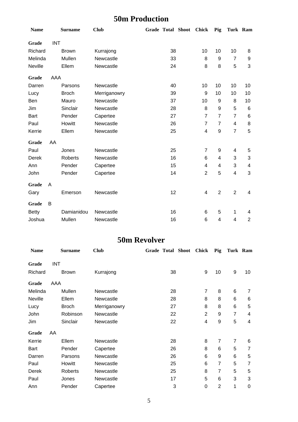### **50m Production**

| <b>Name</b>  |            | <b>Surname</b> | <b>Club</b>  |    | Grade Total Shoot Chick |                | Pig              | Turk Ram       |                           |
|--------------|------------|----------------|--------------|----|-------------------------|----------------|------------------|----------------|---------------------------|
| Grade        | <b>INT</b> |                |              |    |                         |                |                  |                |                           |
| Richard      |            | <b>Brown</b>   | Kurrajong    | 38 |                         | 10             | 10               | 10             | 8                         |
| Melinda      |            | Mullen         | Newcastle    | 33 |                         | 8              | 9                | $\overline{7}$ | 9                         |
| Neville      |            | Ellem          | Newcastle    | 24 |                         | 8              | 8                | 5              | 3                         |
| Grade        | AAA        |                |              |    |                         |                |                  |                |                           |
| Darren       |            | Parsons        | Newcastle    | 40 |                         | 10             | 10               | 10             | 10                        |
| Lucy         |            | <b>Broch</b>   | Merriganowry | 39 |                         | 9              | 10               | 10             | 10                        |
| Ben          |            | Mauro          | Newcastle    | 37 |                         | 10             | 9                | 8              | 10                        |
| Jim          |            | Sinclair       | Newcastle    | 28 |                         | 8              | 9                | 5              | 6                         |
| <b>Bart</b>  |            | Pender         | Capertee     | 27 |                         | $\overline{7}$ | $\overline{7}$   | $\overline{7}$ | 6                         |
| Paul         |            | Howitt         | Newcastle    | 26 |                         | $\overline{7}$ | $\overline{7}$   | 4              | 8                         |
| Kerrie       |            | Ellem          | Newcastle    | 25 |                         | 4              | $\boldsymbol{9}$ | $\overline{7}$ | 5                         |
| Grade        | AA         |                |              |    |                         |                |                  |                |                           |
| Paul         |            | Jones          | Newcastle    | 25 |                         | $\overline{7}$ | $\boldsymbol{9}$ | 4              | 5                         |
| Derek        |            | Roberts        | Newcastle    | 16 |                         | $\,6\,$        | 4                | 3              | $\ensuremath{\mathsf{3}}$ |
| Ann          |            | Pender         | Capertee     | 15 |                         | 4              | 4                | 3              | $\overline{\mathbf{4}}$   |
| John         |            | Pender         | Capertee     | 14 |                         | $\overline{2}$ | 5                | 4              | 3                         |
| Grade        | A          |                |              |    |                         |                |                  |                |                           |
| Gary         |            | Emerson        | Newcastle    | 12 |                         | 4              | $\overline{2}$   | $\overline{2}$ | 4                         |
| Grade        | B          |                |              |    |                         |                |                  |                |                           |
| <b>Betty</b> |            | Damianidou     | Newcastle    | 16 |                         | 6              | 5                | $\mathbf{1}$   | 4                         |
| Joshua       |            | Mullen         | Newcastle    | 16 |                         | 6              | 4                | 4              | $\overline{2}$            |

#### **50m Revolver**

| <b>Name</b> |            | <b>Surname</b> | <b>Club</b>  | Grade Total Shoot | <b>Chick</b>   | Pig            | Turk Ram       |    |
|-------------|------------|----------------|--------------|-------------------|----------------|----------------|----------------|----|
| Grade       | <b>INT</b> |                |              |                   |                |                |                |    |
| Richard     |            | <b>Brown</b>   | Kurrajong    | 38                | 9              | 10             | 9              | 10 |
| Grade       | AAA        |                |              |                   |                |                |                |    |
| Melinda     |            | Mullen         | Newcastle    | 28                | $\overline{7}$ | 8              | 6              | 7  |
| Neville     |            | Ellem          | Newcastle    | 28                | 8              | 8              | 6              | 6  |
| Lucy        |            | <b>Broch</b>   | Merriganowry | 27                | 8              | 8              | 6              | 5  |
| John        |            | Robinson       | Newcastle    | 22                | $\overline{2}$ | 9              | $\overline{7}$ | 4  |
| Jim         |            | Sinclair       | Newcastle    | 22                | 4              | 9              | 5              | 4  |
| Grade       | AA         |                |              |                   |                |                |                |    |
| Kerrie      |            | Ellem          | Newcastle    | 28                | 8              | $\overline{7}$ | $\overline{7}$ | 6  |
| Bart        |            | Pender         | Capertee     | 26                | 8              | 6              | 5              | 7  |
| Darren      |            | Parsons        | Newcastle    | 26                | 6              | 9              | 6              | 5  |
| Paul        |            | Howitt         | Newcastle    | 25                | 6              | $\overline{7}$ | 5              | 7  |
| Derek       |            | Roberts        | Newcastle    | 25                | 8              | $\overline{7}$ | 5              | 5  |
| Paul        |            | Jones          | Newcastle    | 17                | 5              | 6              | 3              | 3  |
| Ann         |            | Pender         | Capertee     | 3                 | 0              | $\overline{2}$ | 1              | 0  |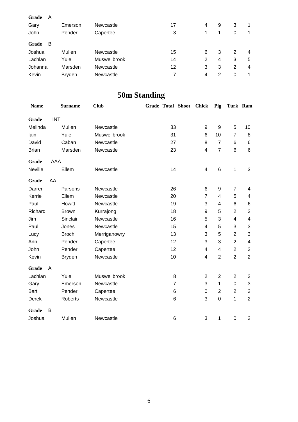| Grade<br>A<br>Gary<br>John | Emerson<br>Pender | Newcastle<br>Capertee | 17<br>3 | 4 | 9              | 3<br>0 | 1              |
|----------------------------|-------------------|-----------------------|---------|---|----------------|--------|----------------|
| в<br>Grade                 |                   |                       |         |   |                |        |                |
| Joshua                     | Mullen            | Newcastle             | 15      | 6 | 3              | 2      | 4              |
| Lachlan                    | Yule              | Muswellbrook          | 14      | 2 | $\overline{4}$ | 3      | 5              |
| Johanna                    | Marsden           | Newcastle             | 12      | 3 | 3              | 2      | $\overline{4}$ |
| Kevin                      | <b>Bryden</b>     | Newcastle             |         | 4 | 2              | 0      | 1              |

# **50m Standing**

| <b>Name</b>    |            | <b>Surname</b> | <b>Club</b>  | <b>Grade Total Shoot</b> |                 | <b>Chick</b>            | Pig            | Turk Ram       |                         |
|----------------|------------|----------------|--------------|--------------------------|-----------------|-------------------------|----------------|----------------|-------------------------|
| Grade          | <b>INT</b> |                |              |                          |                 |                         |                |                |                         |
| Melinda        |            | Mullen         | Newcastle    |                          | 33              | 9                       | 9              | 5              | 10                      |
| lain           |            | Yule           | Muswellbrook |                          | 31              | 6                       | 10             | $\overline{7}$ | 8                       |
| David          |            | Caban          | Newcastle    |                          | 27              | 8                       | $\overline{7}$ | 6              | 6                       |
| <b>Brian</b>   |            | Marsden        | Newcastle    |                          | 23              | 4                       | $\overline{7}$ | 6              | 6                       |
| Grade          | AAA        |                |              |                          |                 |                         |                |                |                         |
| <b>Neville</b> |            | Ellem          | Newcastle    |                          | 14              | $\overline{\mathbf{4}}$ | 6              | 1              | 3                       |
| Grade          | AA         |                |              |                          |                 |                         |                |                |                         |
| Darren         |            | Parsons        | Newcastle    |                          | 26              | 6                       | 9              | $\overline{7}$ | 4                       |
| Kerrie         |            | Ellem          | Newcastle    |                          | 20              | $\overline{7}$          | 4              | 5              | $\overline{\mathbf{4}}$ |
| Paul           |            | Howitt         | Newcastle    |                          | 19              | 3                       | 4              | 6              | 6                       |
| Richard        |            | <b>Brown</b>   | Kurrajong    |                          | 18              | 9                       | 5              | $\overline{2}$ | $\overline{2}$          |
| Jim            |            | Sinclair       | Newcastle    |                          | 16              | 5                       | 3              | 4              | 4                       |
| Paul           |            | Jones          | Newcastle    |                          | 15              | 4                       | 5              | 3              | 3                       |
| Lucy           |            | <b>Broch</b>   | Merriganowry |                          | 13              | 3                       | 5              | $\overline{2}$ | 3                       |
| Ann            |            | Pender         | Capertee     |                          | 12              | 3                       | 3              | $\overline{2}$ | $\overline{\mathbf{4}}$ |
| John           |            | Pender         | Capertee     |                          | 12              | $\overline{\mathbf{4}}$ | 4              | $\overline{2}$ | $\overline{2}$          |
| Kevin          |            | <b>Bryden</b>  | Newcastle    |                          | 10              | 4                       | $\overline{2}$ | $\overline{2}$ | $\overline{2}$          |
| Grade          | A          |                |              |                          |                 |                         |                |                |                         |
| Lachlan        |            | Yule           | Muswellbrook |                          | 8               | $\overline{2}$          | $\overline{2}$ | $\overline{2}$ | $\overline{2}$          |
| Gary           |            | Emerson        | Newcastle    |                          | $\overline{7}$  | 3                       | 1              | 0              | 3                       |
| <b>Bart</b>    |            | Pender         | Capertee     |                          | 6               | $\mathbf 0$             | $\overline{2}$ | $\overline{2}$ | $\overline{2}$          |
| Derek          |            | <b>Roberts</b> | Newcastle    |                          | 6               | 3                       | $\mathbf 0$    | 1              | $\overline{2}$          |
| Grade          | B          |                |              |                          |                 |                         |                |                |                         |
| Joshua         |            | Mullen         | Newcastle    |                          | $6\phantom{1}6$ | 3                       | 1              | $\mathbf 0$    | $\overline{2}$          |